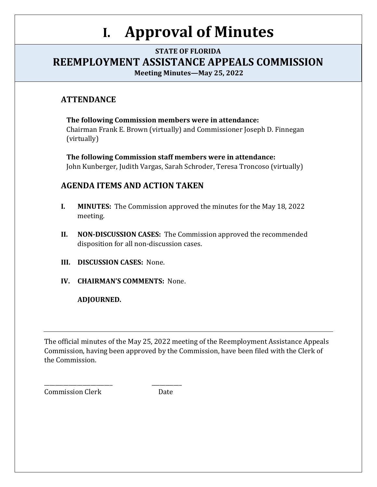# **I. Approval of Minutes**

#### **STATE OF FLORIDA**

### **REEMPLOYMENT ASSISTANCE APPEALS COMMISSION**

**Meeting Minutes—May 25, 2022**

### **ATTENDANCE**

**The following Commission members were in attendance:**  Chairman Frank E. Brown (virtually) and Commissioner Joseph D. Finnegan (virtually)

**The following Commission staff members were in attendance:** John Kunberger, Judith Vargas, Sarah Schroder, Teresa Troncoso (virtually)

### **AGENDA ITEMS AND ACTION TAKEN**

- **I. MINUTES:** The Commission approved the minutes for the May 18, 2022 meeting.
- **II. NON-DISCUSSION CASES:** The Commission approved the recommended disposition for all non-discussion cases.
- **III. DISCUSSION CASES:** None.
- **IV. CHAIRMAN'S COMMENTS:** None.

**ADJOURNED.**

The official minutes of the May 25, 2022 meeting of the Reemployment Assistance Appeals Commission, having been approved by the Commission, have been filed with the Clerk of the Commission.

\_\_\_\_\_\_\_\_\_\_\_\_\_\_\_\_\_\_\_\_\_\_\_\_\_ \_\_\_\_\_\_\_\_\_\_\_ Commission Clerk Date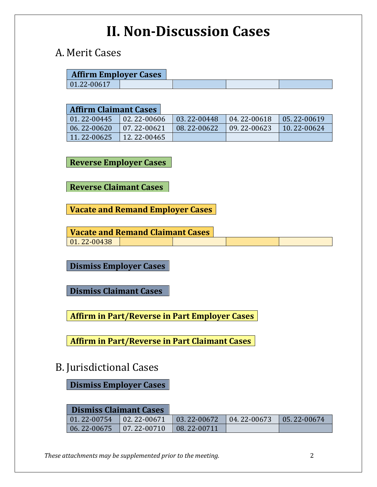## **II. Non-Discussion Cases**

## A. Merit Cases

| <b>Affirm Employer Cases</b> |  |  |
|------------------------------|--|--|
| $ 01.22 - 00617 $            |  |  |

| <b>Affirm Claimant Cases</b> |             |             |             |             |
|------------------------------|-------------|-------------|-------------|-------------|
| $01.22 - 00445$              | 02.22-00606 | 03.22-00448 | 04.22-00618 | 05.22-00619 |
| 06.22-00620                  | 07.22-00621 | 08.22-00622 | 09.22-00623 | 10.22-00624 |
| 11.22-00625                  | 12.22-00465 |             |             |             |

**Reverse Employer Cases**

**Reverse Claimant Cases**

**Vacate and Remand Employer Cases**

**Vacate and Remand Claimant Cases** 01. 22-00438

**Dismiss Employer Cases**

**Dismiss Claimant Cases**

**Affirm in Part/Reverse in Part Employer Cases**

**Affirm in Part/Reverse in Part Claimant Cases**

## B. Jurisdictional Cases

**Dismiss Employer Cases**

#### **Dismiss Claimant Cases**

|                                                             |  | $\mid$ 01, 22-00754 $\mid$ 02, 22-00671 $\mid$ 03, 22-00672 $\mid$ 04, 22-00673 $\mid$ 05, 22-00674 |  |
|-------------------------------------------------------------|--|-----------------------------------------------------------------------------------------------------|--|
| $\mid$ 06. 22-00675 $\mid$ 07. 22-00710 $\mid$ 08. 22-00711 |  |                                                                                                     |  |

*These attachments may be supplemented prior to the meeting.* 2